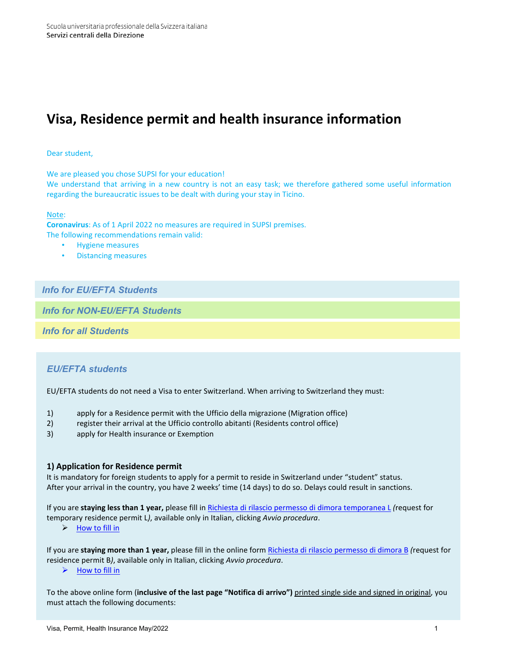# **Visa, Residence permit and health insurance information**

### Dear student,

We are pleased you chose SUPSI for your education!

We understand that arriving in a new country is not an easy task; we therefore gathered some useful information regarding the bureaucratic issues to be dealt with during your stay in Ticino.

#### Note:

**Coronavirus**: As of 1 April 2022 no measures are required in SUPSI premises. The following recommendations remain valid:

- Hygiene measures
- Distancing measures

# *Info for EU/EFTA Students*

*Info for NON-EU/EFTA Students*

*Info for all Students*

### *EU/EFTA students*

EU/EFTA students do not need a Visa to enter Switzerland. When arriving to Switzerland they must:

- 1) apply for a Residence permit with the Ufficio della migrazione (Migration office)
- 2) register their arrival at the Ufficio controllo abitanti (Residents control office)
- 3) apply for Health insurance or Exemption

### **1) Application for Residence permit**

It is mandatory for foreign students to apply for a permit to reside in Switzerland under "student" status. After your arrival in the country, you have 2 weeks' time (14 days) to do so. Delays could result in sanctions.

If you are **staying less than 1 year,** please fill i[n Richiesta di rilascio permesso di dimora temporanea L](https://www4.ti.ch/index.php?id=130320) *(*request for temporary residence permit L*)*, available only in Italian, clicking *Avvio procedura*.

 $\triangleright$  [How to fill in](https://www.supsi.ch/international_en/dms/international_en/docs/students/in/permit/Permit-L_study_help-SIMM/Permit%20L_study_help%20SIMM.pdf)

If you are **staying more than 1 year,** please fill in the online form Richiesta [di rilascio permesso di dimora B](https://www4.ti.ch/index.php?id=130308) *(*request for residence permit B*)*, available only in Italian, clicking *Avvio procedura*.

 $\triangleright$  [How to fill in](https://www.supsi.ch/international_en/dms/international_en/docs/students/in/permit/Permit-B_study_help-SIMM/Permit%20B_study_help%20SIMM.pdf)

To the above online form (**inclusive of the last page "Notifica di arrivo")** printed single side and signed in original, you must attach the following documents: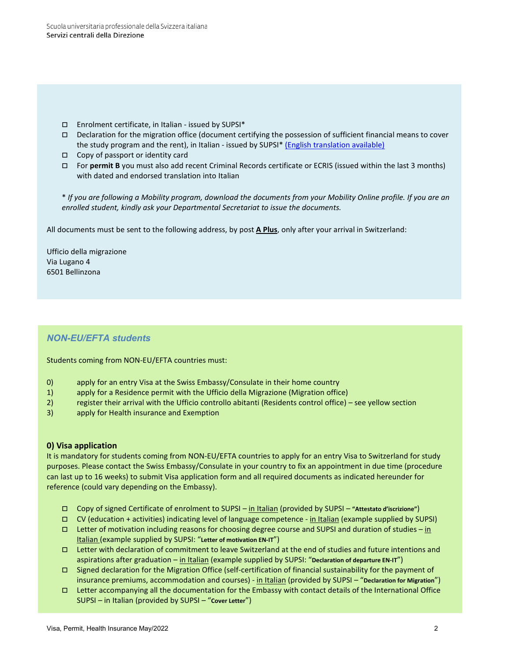- Enrolment certificate, in Italian issued by SUPSI\*
- Declaration for the migration office (document certifying the possession of sufficient financial means to cover the study program and the rent), in Italian - issued by SUPSI\* [\(English translation available\)](file://supsi.ch/DIR/supsi-gruppi$/Segreteria%20Direzione%20SUPSI/INTERNATIONAL%20SEGR/ERASMUS/Mobilit%C3%A0%20studenti%20(SM)/Welcome%20DOCS/Permessi%20e%20assicurazioni/Declaration%20Migration%20office%20EN.pdf)
- Copy of passport or identity card
- For **permit B** you must also add recent Criminal Records certificate or ECRIS (issued within the last 3 months) with dated and endorsed translation into Italian

\* *If you are following a Mobility program, download the documents from your Mobility Online profile. If you are an enrolled student, kindly ask your Departmental Secretariat to issue the documents.*

All documents must be sent to the following address, by post **A Plus**, only after your arrival in Switzerland:

Ufficio della migrazione Via Lugano 4 6501 Bellinzona

# *NON-EU/EFTA students*

Students coming from NON-EU/EFTA countries must:

- 0) apply for an entry Visa at the Swiss Embassy/Consulate in their home country
- 1) apply for a Residence permit with the Ufficio della Migrazione (Migration office)
- 2) register their arrival with the Ufficio controllo abitanti (Residents control office) see yellow section
- 3) apply for Health insurance and Exemption

### **0) Visa application**

It is mandatory for students coming from NON-EU/EFTA countries to apply for an entry Visa to Switzerland for study purposes. Please contact the Swiss Embassy/Consulate in your country to fix an appointment in due time (procedure can last up to 16 weeks) to submit Visa application form and all required documents as indicated hereunder for reference (could vary depending on the Embassy).

- Copy of signed Certificate of enrolment to SUPSI in Italian (provided by SUPSI **"Attestato d'iscrizione"**)
- CV (education + activities) indicating level of language competence in Italian (example supplied by SUPSI)
- □ Letter of motivation including reasons for choosing degree course and SUPSI and duration of studies in Italian (example supplied by SUPSI: "**Letter of motivation EN-IT**")
- Letter with declaration of commitment to leave Switzerland at the end of studies and future intentions and aspirations after graduation – in Italian (example supplied by SUPSI: "**Declaration of departure EN-IT**")
- Signed declaration for the Migration Office (self-certification of financial sustainability for the payment of insurance premiums, accommodation and courses) - in Italian (provided by SUPSI – "**Declaration for Migration**")
- Letter accompanying all the documentation for the Embassy with contact details of the International Office SUPSI – in Italian (provided by SUPSI – "**Cover Letter**")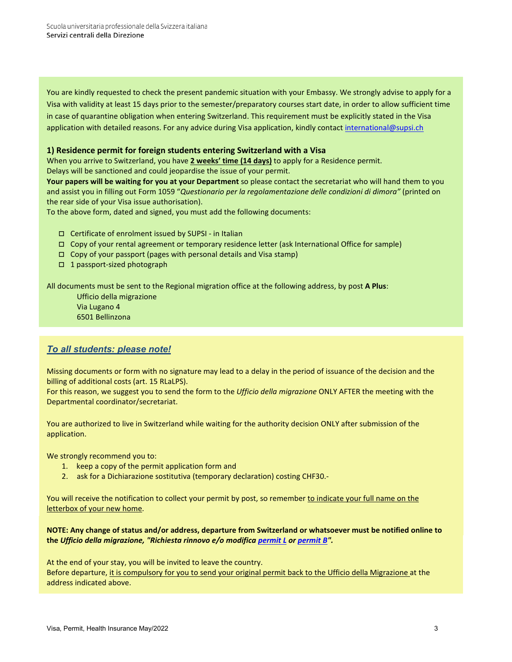You are kindly requested to check the present pandemic situation with your Embassy. We strongly advise to apply for a Visa with validity at least 15 days prior to the semester/preparatory courses start date, in order to allow sufficient time in case of quarantine obligation when entering Switzerland. This requirement must be explicitly stated in the Visa application with detailed reasons. For any advice during Visa application, kindly contac[t international@supsi.ch](mailto:international@supsi.ch)

### **1) Residence permit for foreign students entering Switzerland with a Visa**

When you arrive to Switzerland, you have **2 weeks' time (14 days)** to apply for a Residence permit. Delays will be sanctioned and could jeopardise the issue of your permit.

**Your papers will be waiting for you at your Department** so please contact the secretariat who will hand them to you and assist you in filling out Form 1059 "*Questionario per la regolamentazione delle condizioni di dimora"* (printed on the rear side of your Visa issue authorisation).

To the above form, dated and signed, you must add the following documents:

- Certificate of enrolment issued by SUPSI in Italian
- Copy of your rental agreement or temporary residence letter (ask International Office for sample)
- $\Box$  Copy of your passport (pages with personal details and Visa stamp)
- □ 1 passport-sized photograph

All documents must be sent to the Regional migration office at the following address, by post **A Plus**:

Ufficio della migrazione Via Lugano 4 6501 Bellinzona

# *To all students: please note!*

Missing documents or form with no signature may lead to a delay in the period of issuance of the decision and the billing of additional costs (art. 15 RLaLPS).

For this reason, we suggest you to send the form to the *Ufficio della migrazione* ONLY AFTER the meeting with the Departmental coordinator/secretariat.

You are authorized to live in Switzerland while waiting for the authority decision ONLY after submission of the application.

We strongly recommend you to:

- 1. keep a copy of the permit application form and
- 2. ask for a Dichiarazione sostitutiva (temporary declaration) costing CHF30.-

You will receive the notification to collect your permit by post, so remember to indicate your full name on the letterbox of your new home.

**NOTE: Any change of status and/or address, departure from Switzerland or whatsoever must be notified online to the** *Ufficio della migrazione, "Richiesta rinnovo e/o modifica [permit L](https://www4.ti.ch/index.php?id=130268) or [permit B"](https://www4.ti.ch/index.php?id=130259).*

At the end of your stay, you will be invited to leave the country. Before departure, it is compulsory for you to send your original permit back to the Ufficio della Migrazione at the address indicated above.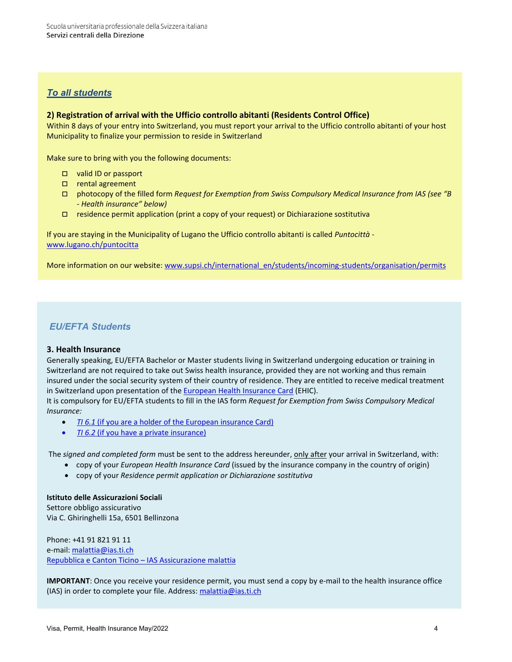## *To all students*

### **2) Registration of arrival with the Ufficio controllo abitanti (Residents Control Office)**

Within 8 days of your entry into Switzerland, you must report your arrival to the Ufficio controllo abitanti of your host Municipality to finalize your permission to reside in Switzerland

Make sure to bring with you the following documents:

- valid ID or passport
- □ rental agreement
- photocopy of the filled form *Request for Exemption from Swiss Compulsory Medical Insurance from IAS (see "B - Health insurance" below)*
- residence permit application (print a copy of your request) or Dichiarazione sostitutiva

If you are staying in the Municipality of Lugano the Ufficio controllo abitanti is called *Puntocittà* [www.lugano.ch/puntocitta](http://www.lugano.ch/tools/sportelli/puntocitta.html)

More information on our website: www.supsi.ch/international\_en/students/incoming-students/organisation/permits

# *EU/EFTA Students*

### **3. Health Insurance**

Generally speaking, EU/EFTA Bachelor or Master students living in Switzerland undergoing education or training in Switzerland are not required to take out Swiss health insurance, provided they are not working and thus remain insured under the social security system of their country of residence. They are entitled to receive medical treatment in Switzerland upon presentation of th[e European Health Insurance Card](https://ec.europa.eu/social/main.jsp?catId=559) (EHIC).

It is compulsory for EU/EFTA students to fill in the IAS form *Request for Exemption from Swiss Compulsory Medical Insurance:*

- *TI 6.1* (if you are a [holder of the European insurance Card\)](http://www.supsi.ch/international_en/dms/international_en/docs/students/in/insurance/TI-6-1/TI%206.1%20EU_EFTA%20citizens%20with%20European%20Health%20Card%20Insurance.pdf)
- *TI 6.2* [\(if you have a private insurance\)](http://www.supsi.ch/international_en/dms/international_en/docs/students/in/insurance/TI-6-2/TI%206.2%20EU_EFTA%20citizens%20with%20private%20health%20insurance.pdf)

The *signed and completed form* must be sent to the address hereunder, only after your arrival in Switzerland, with:

- copy of your *European Health Insurance Card* (issued by the insurance company in the country of origin)
- copy of your *Residence permit application or Dichiarazione sostitutiva*

# **Istituto delle Assicurazioni Sociali**

Settore obbligo assicurativo Via C. Ghiringhelli 15a, 6501 Bellinzona

Phone: +41 91 821 91 11 e-mail: [malattia@ias.ti.ch](mailto:malattia@ias.ti.ch) [Repubblica e Canton Ticino – IAS Assicurazione malattia](https://www4.ti.ch/dss/ias/prestazioni-e-contributi/scheda/p/s/dettaglio/assicurazione-malattia-obbligatoria-lamal/)

**IMPORTANT**: Once you receive your residence permit, you must send a copy by e-mail to the health insurance office (IAS) in order to complete your file. Address: [malattia@ias.ti.ch](mailto:malattia@ias.ti.ch)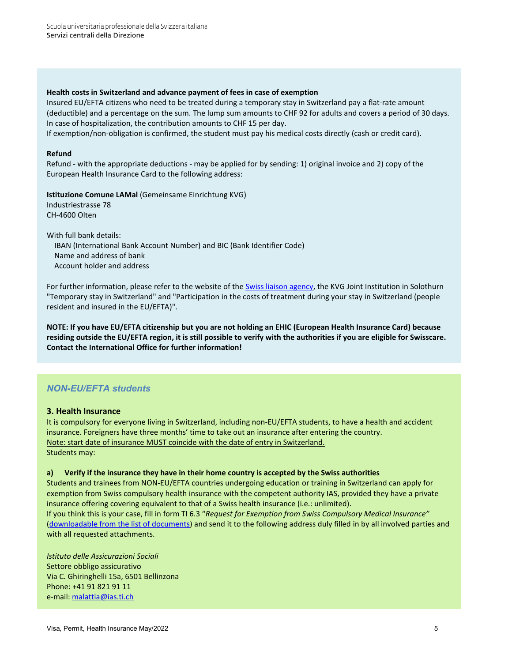### **Health costs in Switzerland and advance payment of fees in case of exemption**

Insured EU/EFTA citizens who need to be treated during a temporary stay in Switzerland pay a flat-rate amount (deductible) and a percentage on the sum. The lump sum amounts to CHF 92 for adults and covers a period of 30 days. In case of hospitalization, the contribution amounts to CHF 15 per day.

If exemption/non-obligation is confirmed, the student must pay his medical costs directly (cash or credit card).

### **Refund**

Refund - with the appropriate deductions - may be applied for by sending: 1) original invoice and 2) copy of the European Health Insurance Card to the following address:

**Istituzione Comune LAMal** (Gemeinsame Einrichtung KVG)

Industriestrasse 78 CH-4600 Olten

With full bank details: IBAN (International Bank Account Number) and BIC (Bank Identifier Code) Name and address of bank Account holder and address

For further information, please refer to the website of the [Swiss liaison agency,](https://www.kvg.org/en/home.html) the KVG Joint Institution in Solothurn "Temporary stay in Switzerland" and "Participation in the costs of treatment during your stay in Switzerland (people resident and insured in the EU/EFTA)".

**NOTE: If you have EU/EFTA citizenship but you are not holding an EHIC (European Health Insurance Card) because residing outside the EU/EFTA region, it is still possible to verify with the authorities if you are eligible for Swisscare. Contact the International Office for further information!**

# *NON-EU/EFTA students*

### **3. Health Insurance**

It is compulsory for everyone living in Switzerland, including non-EU/EFTA students, to have a health and accident insurance. Foreigners have three months' time to take out an insurance after entering the country. Note: start date of insurance MUST coincide with the date of entry in Switzerland. Students may:

### **a) Verify if the insurance they have in their home country is accepted by the Swiss authorities**

Students and trainees from NON-EU/EFTA countries undergoing education or training in Switzerland can apply for exemption from Swiss compulsory health insurance with the competent authority IAS, provided they have a private insurance offering covering equivalent to that of a Swiss health insurance (i.e.: unlimited).

If you think this is your case, fill in form TI 6.3 "*Request for Exemption from Swiss Compulsory Medical Insurance"* [\(downloadable from the list of documents\)](https://www.supsi.ch/international_en/students/incoming-students/Insurance-aspects/Non-EU-EFTA-nationals.html,) and send it to the following address duly filled in by all involved parties and with all requested attachments.

*Istituto delle Assicurazioni Sociali* Settore obbligo assicurativo Via C. Ghiringhelli 15a, 6501 Bellinzona Phone: +41 91 821 91 11 e-mail: [malattia@ias.ti.ch](mailto:malattia@ias.ti.ch)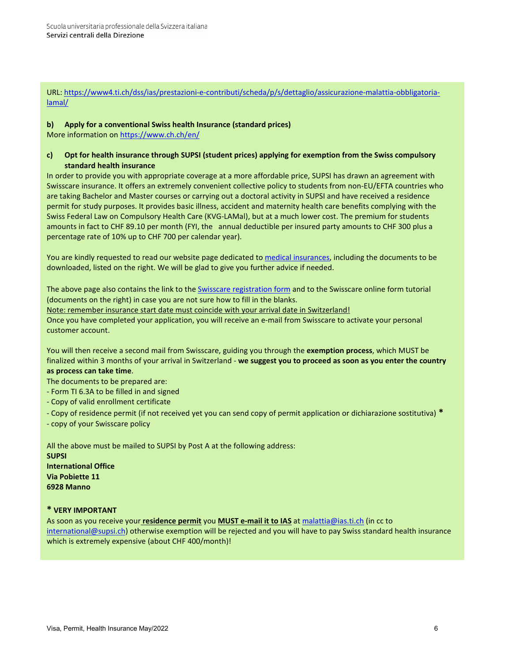URL: [https://www4.ti.ch/dss/ias/prestazioni-e-contributi/scheda/p/s/dettaglio/assicurazione-malattia-obbligatoria](https://www4.ti.ch/dss/ias/prestazioni-e-contributi/scheda/p/s/dettaglio/assicurazione-malattia-obbligatoria-lamal/)[lamal/](https://www4.ti.ch/dss/ias/prestazioni-e-contributi/scheda/p/s/dettaglio/assicurazione-malattia-obbligatoria-lamal/)

### **b) Apply for a conventional Swiss health Insurance (standard prices)**

More information on<https://www.ch.ch/en/>

### **c) Opt for health insurance through SUPSI (student prices) applying for exemption from the Swiss compulsory standard health insurance**

In order to provide you with appropriate coverage at a more affordable price, SUPSI has drawn an agreement with Swisscare insurance. It offers an extremely convenient collective policy to students from non-EU/EFTA countries who are taking Bachelor and Master courses or carrying out a doctoral activity in SUPSI and have received a residence permit for study purposes. It provides basic illness, accident and maternity health care benefits complying with the [Swiss Federal Law on Compulsory Health Care \(KVG-LAMal\),](http://www.eda.admin.ch/eda/en/home/topics/intorg/un/unge/gepri/manins/inshea.html) but at a much lower cost. The premium for students amounts in fact to CHF 89.10 per month (FYI, the annual deductible per insured party amounts to CHF 300 plus a percentage rate of 10% up to CHF 700 per calendar year).

You are kindly requested to read our website page dedicated to [medical insurances,](https://www.supsi.ch/international_en/students/incoming-students/Insurance-aspects/Non-EU-EFTA-nationals.html,) including the documents to be downloaded, listed on the right. We will be glad to give you further advice if needed.

The above page also contains the link to th[e Swisscare registration form](https://forms.swisscare.com/#/spss?group=3015) and to the Swisscare online form tutorial (documents on the right) in case you are not sure how to fill in the blanks. Note: remember insurance start date must coincide with your arrival date in Switzerland! Once you have completed your application, you will receive an e-mail from Swisscare to activate your personal customer account.

You will then receive a second mail from Swisscare, guiding you through the **exemption process**, which MUST be finalized within 3 months of your arrival in Switzerland - **we suggest you to proceed as soon as you enter the country as process can take time**.

The documents to be prepared are:

- Form TI 6.3A to be filled in and signed
- Copy of valid enrollment certificate
- Copy of residence permit (if not received yet you can send copy of permit application or dichiarazione sostitutiva) **\***

- copy of your Swisscare policy

All the above must be mailed to SUPSI by Post A at the following address: **SUPSI International Office Via Pobiette 11 6928 Manno**

### **\* VERY IMPORTANT**

As soon as you receive your **residence permit** you **MUST e-mail it to IAS** a[t malattia@ias.ti.ch](mailto:malattia@ias.ti.ch) (in cc to [international@supsi.ch\)](mailto:international@supsi.ch) otherwise exemption will be rejected and you will have to pay Swiss standard health insurance which is extremely expensive (about CHF 400/month)!